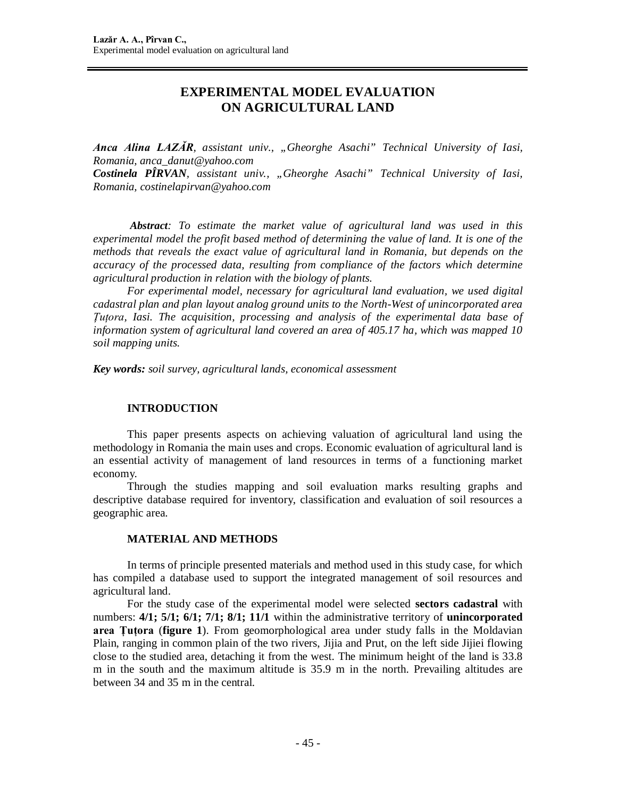# **EXPERIMENTAL MODEL EVALUATION ON AGRICULTURAL LAND**

*Anca Alina LAZĂR, assistant univ., "Gheorghe Asachi" Technical University of Iasi, Romania, [anca\\_danut@yahoo.com](mailto:anca_danut@yahoo.com)*

*Costinela PÎRVAN, assistant univ., "Gheorghe Asachi" Technical University of Iasi, Romania, [costinelapirvan@yahoo.com](mailto:costinelapirvan@yahoo.com)*

*Abstract: To estimate the market value of agricultural land was used in this experimental model the profit based method of determining the value of land. It is one of the methods that reveals the exact value of agricultural land in Romania, but depends on the accuracy of the processed data, resulting from compliance of the factors which determine agricultural production in relation with the biology of plants.*

*For experimental model, necessary for agricultural land evaluation, we used digital cadastral plan and plan layout analog ground units to the North-West of unincorporated area Ţuţora, Iasi. The acquisition, processing and analysis of the experimental data base of information system of agricultural land covered an area of 405.17 ha, which was mapped 10 soil mapping units.*

*Key words: soil survey, agricultural lands, economical assessment*

### **INTRODUCTION**

This paper presents aspects on achieving valuation of agricultural land using the methodology in Romania the main uses and crops. Economic evaluation of agricultural land is an essential activity of management of land resources in terms of a functioning market economy.

Through the studies mapping and soil evaluation marks resulting graphs and descriptive database required for inventory, classification and evaluation of soil resources a geographic area.

## **MATERIAL AND METHODS**

In terms of principle presented materials and method used in this study case, for which has compiled a database used to support the integrated management of soil resources and agricultural land.

For the study case of the experimental model were selected **sectors cadastral** with numbers: **4/1; 5/1; 6/1; 7/1; 8/1; 11/1** within the administrative territory of **unincorporated area Ţuţora** (**figure 1**). From geomorphological area under study falls in the Moldavian Plain, ranging in common plain of the two rivers, Jijia and Prut, on the left side Jijiei flowing close to the studied area, detaching it from the west. The minimum height of the land is 33.8 m in the south and the maximum altitude is 35.9 m in the north. Prevailing altitudes are between 34 and 35 m in the central.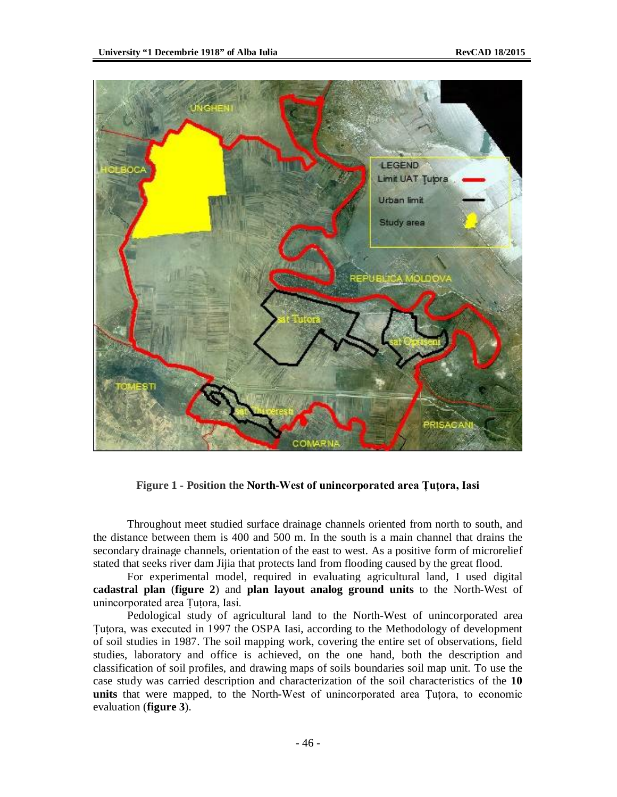

**Figure 1 - Position the North-West of unincorporated area Ţuţora, Iasi**

Throughout meet studied surface drainage channels oriented from north to south, and the distance between them is 400 and 500 m. In the south is a main channel that drains the secondary drainage channels, orientation of the east to west. As a positive form of microrelief stated that seeks river dam Jijia that protects land from flooding caused by the great flood.

For experimental model, required in evaluating agricultural land, I used digital **cadastral plan** (**figure 2**) and **plan layout analog ground units** to the North-West of unincorporated area Ţuţora, Iasi.

Pedological study of agricultural land to the North-West of unincorporated area Tutora, was executed in 1997 the OSPA Iasi, according to the Methodology of development of soil studies in 1987. The soil mapping work, covering the entire set of observations, field studies, laboratory and office is achieved, on the one hand, both the description and classification of soil profiles, and drawing maps of soils boundaries soil map unit. To use the case study was carried description and characterization of the soil characteristics of the **10 units** that were mapped, to the North-West of unincorporated area Tutora, to economic evaluation (**figure 3**).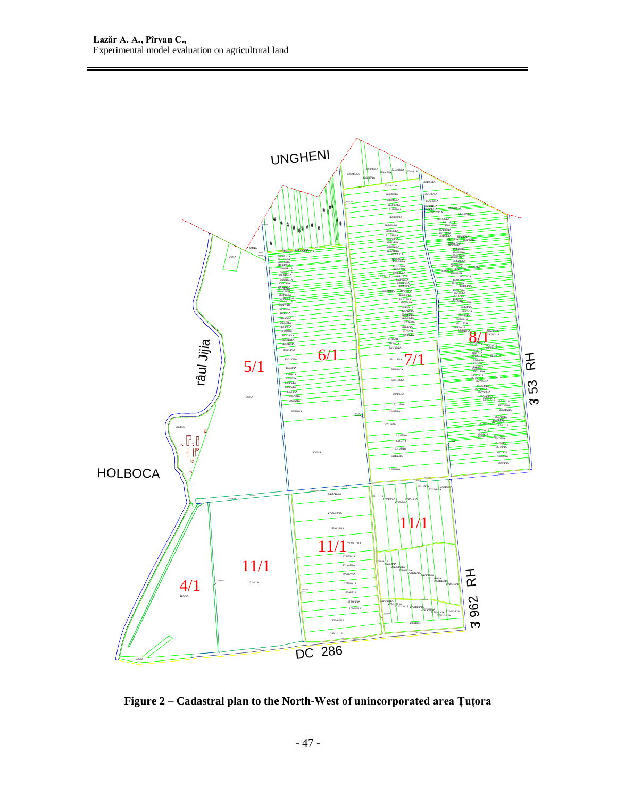

**Figure 2 – Cadastral plan to the North-West of unincorporated area Ţuţora**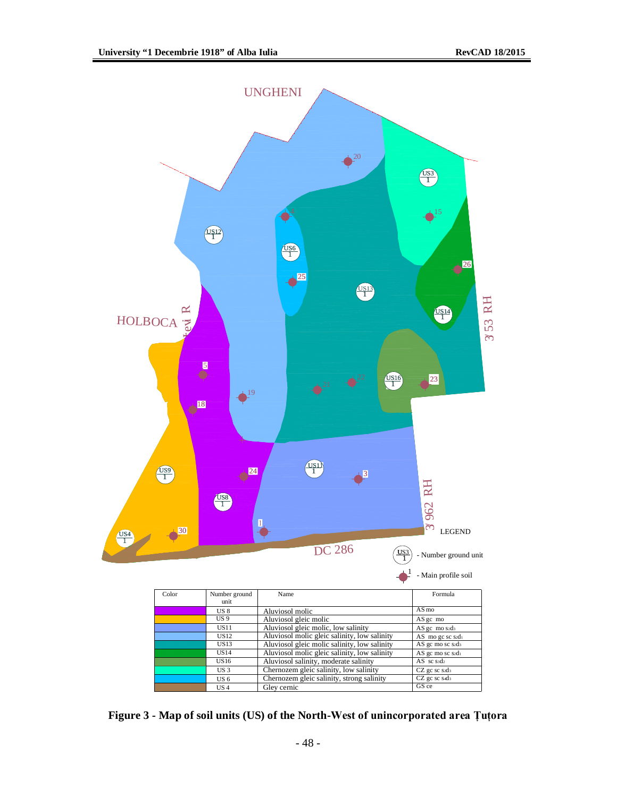

**Figure 3 - Map of soil units (US) of the North-West of unincorporated area Ţuţora**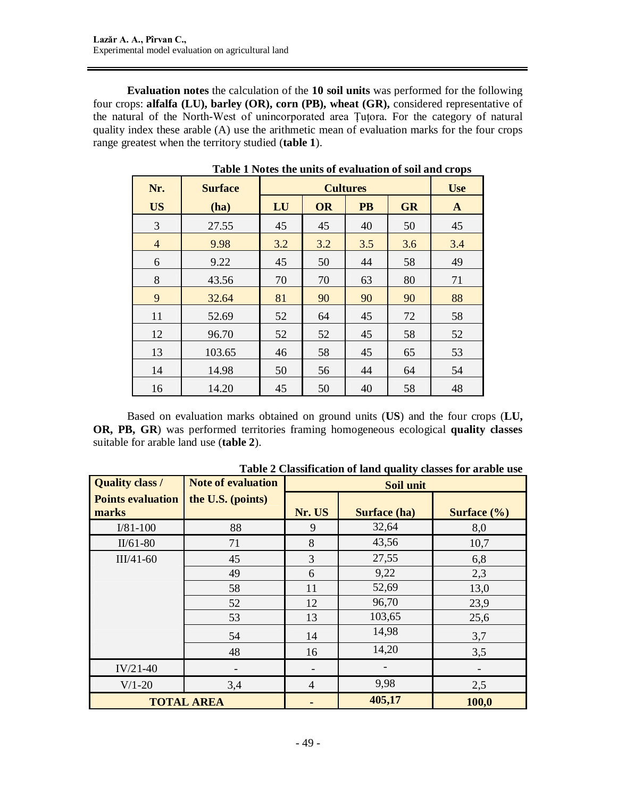**Evaluation notes** the calculation of the **10 soil units** was performed for the following four crops: **alfalfa (LU), barley (OR), corn (PB), wheat (GR),** considered representative of the natural of the North-West of unincorporated area Ţuţora. For the category of natural quality index these arable (A) use the arithmetic mean of evaluation marks for the four crops range greatest when the territory studied (**table 1**).

| Nr.            | <b>Surface</b> |     | <b>Use</b> |           |           |     |
|----------------|----------------|-----|------------|-----------|-----------|-----|
| <b>US</b>      | (ha)           | LU  | <b>OR</b>  | <b>PB</b> | <b>GR</b> | A   |
| 3              | 27.55          | 45  | 45         | 40        | 50        | 45  |
| $\overline{4}$ | 9.98           | 3.2 | 3.2        | 3.5       | 3.6       | 3.4 |
| 6              | 9.22           | 45  | 50         | 44        | 58        | 49  |
| 8              | 43.56          | 70  | 70         | 63        | 80        | 71  |
| 9              | 32.64          | 81  | 90         | 90        | 90        | 88  |
| 11             | 52.69          | 52  | 64         | 45        | 72        | 58  |
| 12             | 96.70          | 52  | 52         | 45        | 58        | 52  |
| 13             | 103.65         | 46  | 58         | 45        | 65        | 53  |
| 14             | 14.98          | 50  | 56         | 44        | 64        | 54  |
| 16             | 14.20          | 45  | 50         | 40        | 58        | 48  |

**Table 1 Notes the units of evaluation of soil and crops**

Based on evaluation marks obtained on ground units (**US**) and the four crops (**LU, OR, PB, GR**) was performed territories framing homogeneous ecological **quality classes** suitable for arable land use (**table 2**).

| <b>Quality class /</b>            | <b>Note of evaluation</b> | <b>Soil unit</b> |              |                 |  |  |  |  |  |
|-----------------------------------|---------------------------|------------------|--------------|-----------------|--|--|--|--|--|
| <b>Points evaluation</b><br>marks | the U.S. (points)         | Nr. US           | Surface (ha) | Surface $(\% )$ |  |  |  |  |  |
| $I/81-100$                        | 88                        | 9                | 32,64        | 8,0             |  |  |  |  |  |
| $II/61-80$                        | 71                        | 8                | 43,56        | 10,7            |  |  |  |  |  |
| $III/41-60$                       | 45                        |                  | 27,55        | 6,8             |  |  |  |  |  |
|                                   | 49                        | 6                | 9,22         | 2,3             |  |  |  |  |  |
|                                   | 58                        | 11               | 52,69        | 13,0            |  |  |  |  |  |
|                                   | 52                        | 12               | 96,70        | 23,9            |  |  |  |  |  |
|                                   | 53                        | 13               | 103,65       | 25,6            |  |  |  |  |  |
|                                   | 54                        | 14               | 14,98        | 3,7             |  |  |  |  |  |
|                                   | 48                        | 16               | 14,20        | 3,5             |  |  |  |  |  |
| $IV/21-40$                        |                           |                  |              |                 |  |  |  |  |  |
| $V/1-20$                          | 3,4                       | $\overline{4}$   | 9,98         | 2,5             |  |  |  |  |  |
|                                   | <b>TOTAL AREA</b>         |                  | 405,17       | 100,0           |  |  |  |  |  |

**Table 2 Classification of land quality classes for arable use**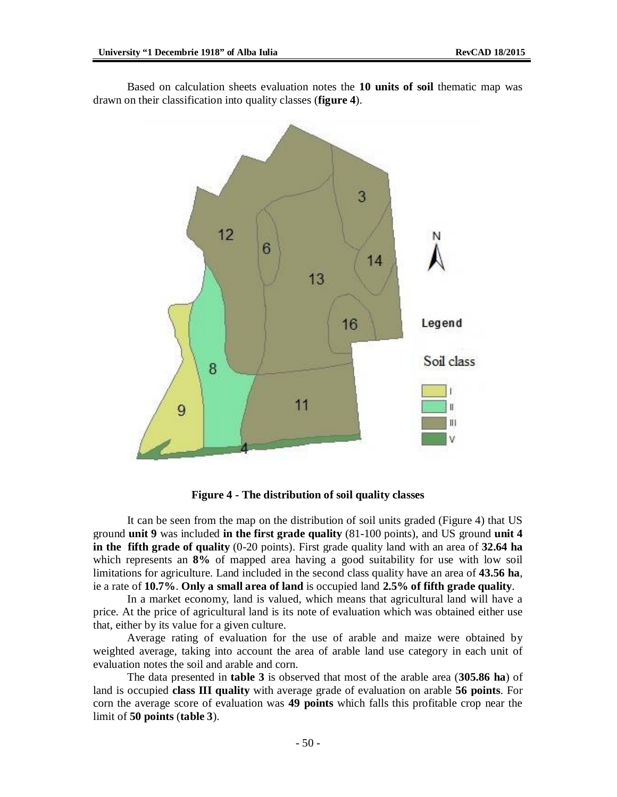3 12 6 14  $13$ 16 Legend Soil class 8  $11$ II. 9 Ш

Based on calculation sheets evaluation notes the **10 units of soil** thematic map was drawn on their classification into quality classes (**figure 4**).

**Figure 4 - The distribution of soil quality classes**

It can be seen from the map on the distribution of soil units graded (Figure 4) that US ground **unit 9** was included **in the first grade quality** (81-100 points), and US ground **unit 4 in the fifth grade of quality** (0-20 points). First grade quality land with an area of **32.64 ha** which represents an **8%** of mapped area having a good suitability for use with low soil limitations for agriculture. Land included in the second class quality have an area of **43.56 ha**, ie a rate of **10.7%**. **Only a small area of land** is occupied land **2.5% of fifth grade quality**.

In a market economy, land is valued, which means that agricultural land will have a price. At the price of agricultural land is its note of evaluation which was obtained either use that, either by its value for a given culture.

Average rating of evaluation for the use of arable and maize were obtained by weighted average, taking into account the area of arable land use category in each unit of evaluation notes the soil and arable and corn.

The data presented in **table 3** is observed that most of the arable area (**305.86 ha**) of land is occupied **class III quality** with average grade of evaluation on arable **56 points**. For corn the average score of evaluation was **49 points** which falls this profitable crop near the limit of **50 points** (**table 3**).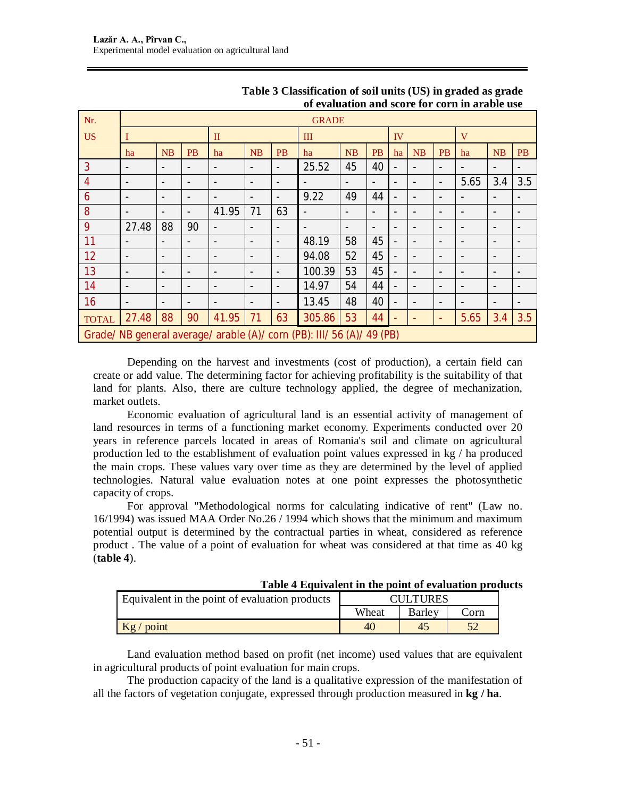| Nr.            | <b>GRADE</b>             |                          |                          |                          |                          |                          |                                                                        |                          |                          |                          |                          |                          |                          |                          |                          |
|----------------|--------------------------|--------------------------|--------------------------|--------------------------|--------------------------|--------------------------|------------------------------------------------------------------------|--------------------------|--------------------------|--------------------------|--------------------------|--------------------------|--------------------------|--------------------------|--------------------------|
| <b>US</b>      |                          |                          |                          | $\mathbf{I}$             |                          |                          | III                                                                    |                          | IV                       |                          |                          |                          | V                        |                          |                          |
|                | ha                       | NB                       | <b>PB</b>                | ha                       | NB                       | <b>PB</b>                | ha                                                                     | NB                       | <b>PB</b>                | ha                       | NB                       | <b>PB</b>                | ha                       | NB                       | <b>PB</b>                |
| 3              |                          |                          |                          | $\overline{\phantom{a}}$ | $\overline{\phantom{a}}$ |                          | 25.52                                                                  | 45                       | 40                       |                          |                          |                          |                          | ٠                        |                          |
| $\overline{4}$ | $\overline{\phantom{a}}$ | $\overline{\phantom{0}}$ | $\overline{\phantom{a}}$ | $\overline{\phantom{a}}$ | $\overline{\phantom{a}}$ | $\overline{\phantom{0}}$ |                                                                        | -                        | $\overline{\phantom{a}}$ | $\overline{\phantom{a}}$ |                          | $\overline{\phantom{a}}$ | 5.65                     | 3.4                      | 3.5                      |
| 6              | $\overline{\phantom{a}}$ | $\overline{\phantom{0}}$ | $\overline{\phantom{a}}$ | $\overline{\phantom{0}}$ | $\overline{\phantom{a}}$ | $\overline{\phantom{a}}$ | 9.22                                                                   | 49                       | 44                       | $\overline{\phantom{a}}$ |                          | ٠                        |                          | $\overline{\phantom{a}}$ |                          |
| 8              | $\overline{\phantom{0}}$ | $\overline{\phantom{0}}$ | $\overline{\phantom{a}}$ | 41.95                    | 71                       | 63                       | $\overline{\phantom{a}}$                                               | $\overline{\phantom{a}}$ | $\overline{\phantom{a}}$ | $\overline{\phantom{a}}$ |                          | $\overline{\phantom{0}}$ | $\overline{\phantom{a}}$ | $\overline{\phantom{a}}$ |                          |
| 9              | 27.48                    | 88                       | 90                       | $\overline{\phantom{a}}$ | $\overline{\phantom{a}}$ |                          |                                                                        | $\overline{\phantom{a}}$ | $\overline{a}$           | $\overline{\phantom{a}}$ |                          |                          |                          | ٠                        |                          |
| 11             |                          |                          | $\overline{a}$           | $\overline{\phantom{a}}$ | $\overline{\phantom{a}}$ |                          | 48.19                                                                  | 58                       | 45                       | -                        |                          |                          |                          | ٠                        |                          |
| 12             | $\overline{a}$           | $\overline{\phantom{0}}$ | $\overline{\phantom{a}}$ | $\overline{\phantom{a}}$ | $\overline{\phantom{a}}$ | $\overline{\phantom{a}}$ | 94.08                                                                  | 52                       | 45                       | $\overline{\phantom{a}}$ |                          | ٠                        | ٠                        | $\overline{\phantom{a}}$ |                          |
| 13             | ٠                        | $\overline{\phantom{0}}$ | $\overline{\phantom{a}}$ | $\overline{\phantom{a}}$ | $\overline{\phantom{a}}$ | $\overline{\phantom{0}}$ | 100.39                                                                 | 53                       | 45                       | $\overline{\phantom{a}}$ |                          | $\overline{\phantom{0}}$ | ٠                        | $\overline{\phantom{a}}$ |                          |
| 14             | $\overline{\phantom{a}}$ | $\overline{\phantom{0}}$ | $\overline{\phantom{a}}$ | $\overline{\phantom{a}}$ | $\overline{\phantom{a}}$ | $\overline{\phantom{a}}$ | 14.97                                                                  | 54                       | 44                       | $\overline{\phantom{0}}$ | $\overline{\phantom{a}}$ | -                        | $\overline{\phantom{a}}$ | $\overline{\phantom{a}}$ | $\overline{a}$           |
| 16             | $\overline{\phantom{a}}$ | -                        | $\overline{\phantom{a}}$ | $\overline{\phantom{a}}$ | $\overline{\phantom{a}}$ | $\overline{\phantom{a}}$ | 13.45                                                                  | 48                       | 40                       | $\overline{\phantom{a}}$ |                          | $\overline{a}$           | ٠                        | $\overline{\phantom{a}}$ | $\overline{\phantom{a}}$ |
| <b>TOTAL</b>   | 27.48                    | 88                       | 90                       | 41.95                    | 71                       | 63                       | 305.86                                                                 | 53                       | 44                       |                          |                          |                          | 5.65                     | 3.4                      | 3.5                      |
|                |                          |                          |                          |                          |                          |                          | Grade/ NB general average/ arable (A)/ corn (PB): III/ 56 (A)/ 49 (PB) |                          |                          |                          |                          |                          |                          |                          |                          |

# **Table 3 Classification of soil units (US) in graded as grade of evaluation and score for corn in arable use**

Depending on the harvest and investments (cost of production), a certain field can create or add value. The determining factor for achieving profitability is the suitability of that land for plants. Also, there are culture technology applied, the degree of mechanization, market outlets.

Economic evaluation of agricultural land is an essential activity of management of land resources in terms of a functioning market economy. Experiments conducted over 20 years in reference parcels located in areas of Romania's soil and climate on agricultural production led to the establishment of evaluation point values expressed in kg / ha produced the main crops. These values vary over time as they are determined by the level of applied technologies. Natural value evaluation notes at one point expresses the photosynthetic capacity of crops.

For approval "Methodological norms for calculating indicative of rent" (Law no. 16/1994) was issued MAA Order No.26 / 1994 which shows that the minimum and maximum potential output is determined by the contractual parties in wheat, considered as reference product . The value of a point of evaluation for wheat was considered at that time as 40 kg (**table 4**).

| Table 4 Equivalent in the point of evaluation products |  |  |
|--------------------------------------------------------|--|--|
|--------------------------------------------------------|--|--|

| Equivalent in the point of evaluation products |       | <b>CULTURES</b> |      |
|------------------------------------------------|-------|-----------------|------|
|                                                | Wheat | Barley          | `orn |
| $Kg$ / point                                   |       | 47              |      |

Land evaluation method based on profit (net income) used values that are equivalent in agricultural products of point evaluation for main crops.

The production capacity of the land is a qualitative expression of the manifestation of all the factors of vegetation conjugate, expressed through production measured in **kg / ha**.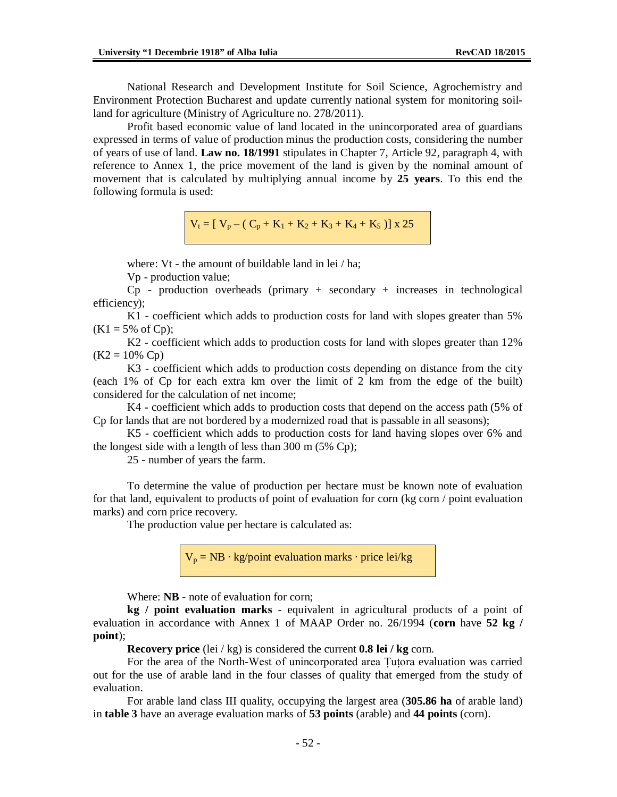National Research and Development Institute for Soil Science, Agrochemistry and Environment Protection Bucharest and update currently national system for monitoring soilland for agriculture (Ministry of Agriculture no. 278/2011).

Profit based economic value of land located in the unincorporated area of guardians expressed in terms of value of production minus the production costs, considering the number of years of use of land. **Law no. 18/1991** stipulates in Chapter 7, Article 92, paragraph 4, with reference to Annex 1, the price movement of the land is given by the nominal amount of movement that is calculated by multiplying annual income by **25 years**. To this end the following formula is used:

 $V_t = [ V_p - (C_p + K_1 + K_2 + K_3 + K_4 + K_5 )] \times 25$ 

where: Vt - the amount of buildable land in lei / ha;

Vp - production value;

 $Cp$  - production overheads (primary + secondary + increases in technological efficiency);

K1 - coefficient which adds to production costs for land with slopes greater than 5%  $(K1 = 5\% \text{ of } Cp);$ 

K2 - coefficient which adds to production costs for land with slopes greater than 12%  $(K2 = 10\% \text{ Cp})$ 

K3 - coefficient which adds to production costs depending on distance from the city (each 1% of Cp for each extra km over the limit of 2 km from the edge of the built) considered for the calculation of net income;

K4 - coefficient which adds to production costs that depend on the access path (5% of Cp for lands that are not bordered by a modernized road that is passable in all seasons);

K5 - coefficient which adds to production costs for land having slopes over 6% and the longest side with a length of less than 300 m (5% Cp);

25 - number of years the farm.

To determine the value of production per hectare must be known note of evaluation for that land, equivalent to products of point of evaluation for corn (kg corn / point evaluation marks) and corn price recovery.

The production value per hectare is calculated as:

 $V_p = NB \cdot kg$ /point evaluation marks  $\cdot$  price lei/kg

Where: **NB** - note of evaluation for corn;

**kg / point evaluation marks** - equivalent in agricultural products of a point of evaluation in accordance with Annex 1 of MAAP Order no. 26/1994 (**corn** have **52 kg / point**);

**Recovery price** (lei / kg) is considered the current **0.8 lei / kg** corn.

For the area of the North-West of unincorporated area Ţuţora evaluation was carried out for the use of arable land in the four classes of quality that emerged from the study of evaluation.

For arable land class III quality, occupying the largest area (**305.86 ha** of arable land) in **table 3** have an average evaluation marks of **53 points** (arable) and **44 points** (corn).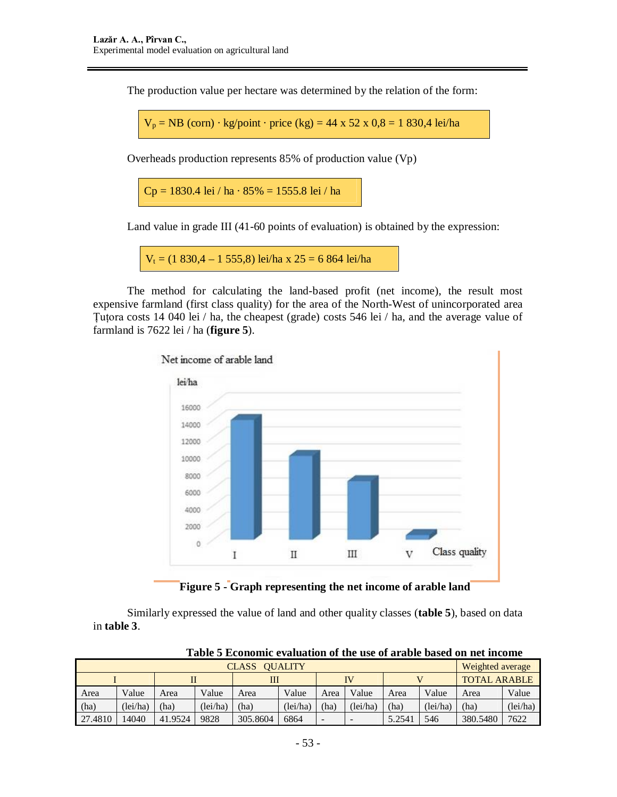The production value per hectare was determined by the relation of the form:

 $V_p = NB$  (corn) · kg/point · price (kg) = 44 x 52 x 0,8 = 1 830,4 lei/ha

Overheads production represents 85% of production value (Vp)

 $Cp = 1830.4$  lei / ha  $\cdot 85\% = 1555.8$  lei / ha

Land value in grade III (41-60 points of evaluation) is obtained by the expression:

 $V_1 = (1 830, 4 - 1 555, 8)$  lei/ha x  $25 = 6 864$  lei/ha

The method for calculating the land-based profit (net income), the result most expensive farmland (first class quality) for the area of the North-West of unincorporated area Ţuţora costs 14 040 lei / ha, the cheapest (grade) costs 546 lei / ha, and the average value of farmland is 7622 lei / ha (**figure 5**).



**Figure 5 - Graph representing the net income of arable land**

Similarly expressed the value of land and other quality classes (**table 5**), based on data in **table 3**.

|         | <b>Weighted average</b> |         |         |          |          |      |                          |       |         |                     |          |
|---------|-------------------------|---------|---------|----------|----------|------|--------------------------|-------|---------|---------------------|----------|
|         |                         |         |         | Ш        |          |      | IV                       |       |         | <b>TOTAL ARABLE</b> |          |
| Area    | Value                   | Area    | Value   | Area     | Value    | Area | Value                    | Area  | Value   | Area                | Value    |
| (ha)    | (lei/ha)                | (ha)    | Tei/ha) | (ha)     | (1ei/ha) | (ha) | Tei/ha)                  | (ha)  | Tei/ha) | ha)                 | (1ei/ha) |
| 27.4810 | 14040                   | 41.9524 | 9828    | 305.8604 | 6864     | -    | $\overline{\phantom{a}}$ | 5.254 | 546     | 380.5480            | 7622     |

**Table 5 Economic evaluation of the use of arable based on net income**